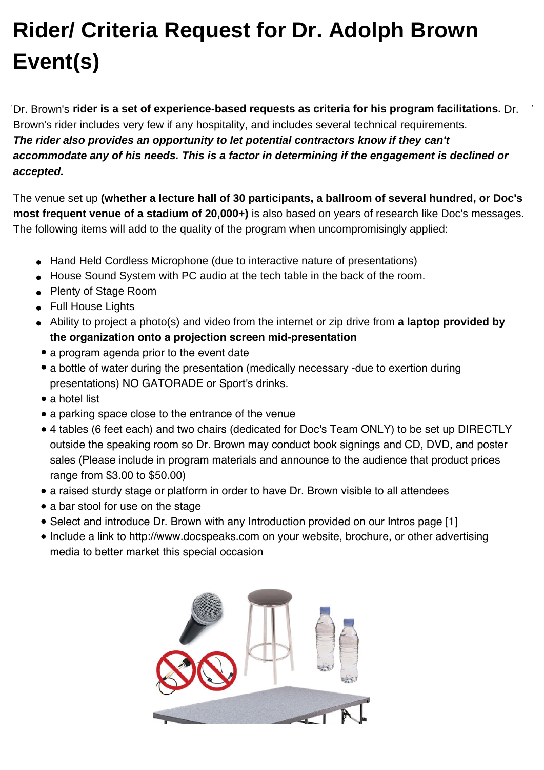## **Rider/ Criteria Request for Dr. Adolph Brown Event(s)**

Dr. Brown's **rider is a set of experience-based requests as criteria for his program facilitations.** Dr. Brown's rider includes very few if any hospitality, and includes several technical requirements. **The rider also provides an opportunity to let potential contractors know if they can't accommodate any of his needs. This is a factor in determining if the engagement is declined or accepted.**

The venue set up **(whether a lecture hall of 30 participants, a ballroom of several hundred, or Doc's most frequent venue of a stadium of 20,000+)** is also based on years of research like Doc's messages. The following items will add to the quality of the program when uncompromisingly applied:

- Hand Held Cordless Microphone (due to interactive nature of presentations)
- House Sound System with PC audio at the tech table in the back of the room.
- Plenty of Stage Room
- Full House Lights
- Ability to project a photo(s) and video from the internet or zip drive from **a laptop provided by the organization onto a projection screen mid-presentation**
- a program agenda prior to the event date
- a bottle of water during the presentation (medically necessary -due to exertion during presentations) NO GATORADE or Sport's drinks.
- a hotel list
- a parking space close to the entrance of the venue
- 4 tables (6 feet each) and two chairs (dedicated for Doc's Team ONLY) to be set up DIRECTLY outside the speaking room so Dr. Brown may conduct book signings and CD, DVD, and poster sales (Please include in program materials and announce to the audience that product prices range from \$3.00 to \$50.00)
- a raised sturdy stage or platform in order to have Dr. Brown visible to all attendees
- a bar stool for use on the stage
- Select and introduce Dr. Brown with any Introduction provided on our Intros page [1]
- Include a link to http://www.docspeaks.com on your website, brochure, or other advertising media to better market this special occasion